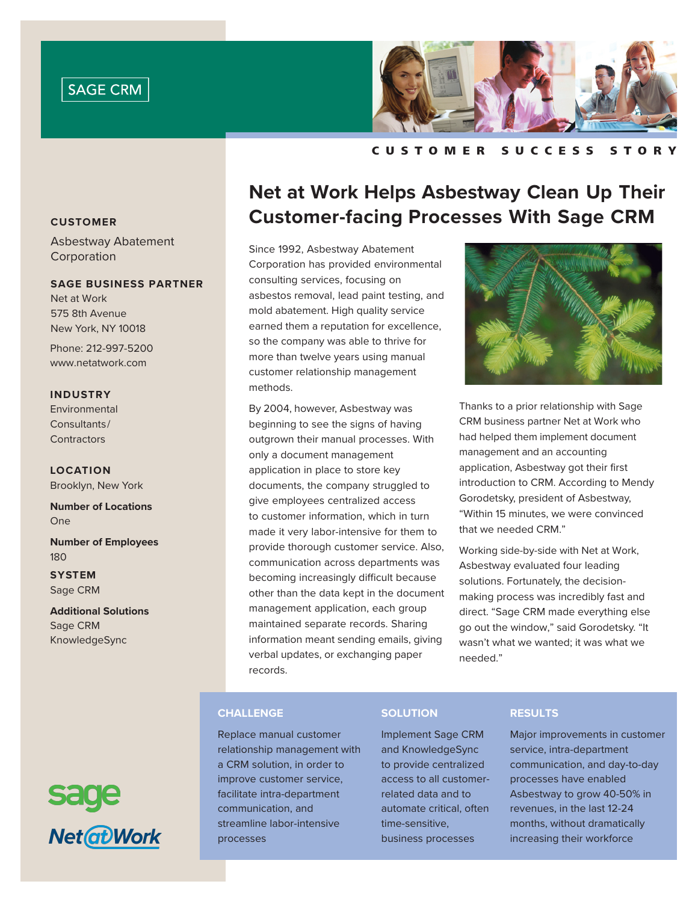



C u s t o m e r S u cc e s s S t o r y

### **CUSTOMER**

Asbestway Abatement Corporation

### **SAGE BUSINESS PARTNER**

Net at Work 575 8th Avenue New York, NY 10018

Phone: 212-997-5200 www.netatwork.com

### **INDUSTRY**

Environmental Consultants/ **Contractors** 

**LOCATION** Brooklyn, New York

**Number of Locations** One

**Number of Employees** 180

**SYSTEM** Sage CRM

**Additional Solutions** Sage CRM KnowledgeSync



# **Net at Work Helps Asbestway Clean Up Their Customer-facing Processes With Sage CRM**

Since 1992, Asbestway Abatement Corporation has provided environmental consulting services, focusing on asbestos removal, lead paint testing, and mold abatement. High quality service earned them a reputation for excellence, so the company was able to thrive for more than twelve years using manual customer relationship management methods.

By 2004, however, Asbestway was beginning to see the signs of having outgrown their manual processes. With only a document management application in place to store key documents, the company struggled to give employees centralized access to customer information, which in turn made it very labor-intensive for them to provide thorough customer service. Also, communication across departments was becoming increasingly difficult because other than the data kept in the document management application, each group maintained separate records. Sharing information meant sending emails, giving verbal updates, or exchanging paper records.



Thanks to a prior relationship with Sage CRM business partner Net at Work who had helped them implement document management and an accounting application, Asbestway got their first introduction to CRM. According to Mendy Gorodetsky, president of Asbestway, "Within 15 minutes, we were convinced that we needed CRM."

Working side-by-side with Net at Work, Asbestway evaluated four leading solutions. Fortunately, the decisionmaking process was incredibly fast and direct. "Sage CRM made everything else go out the window," said Gorodetsky. "It wasn't what we wanted; it was what we needed."

# **CHALLENGE**

Replace manual customer relationship management with a CRM solution, in order to improve customer service, facilitate intra-department communication, and streamline labor-intensive processes

# **SOLUTION**

Implement Sage CRM and KnowledgeSync to provide centralized access to all customerrelated data and to automate critical, often time-sensitive, business processes

# **RESULTS**

Major improvements in customer service, intra-department communication, and day-to-day processes have enabled Asbestway to grow 40-50% in revenues, in the last 12-24 months, without dramatically increasing their workforce